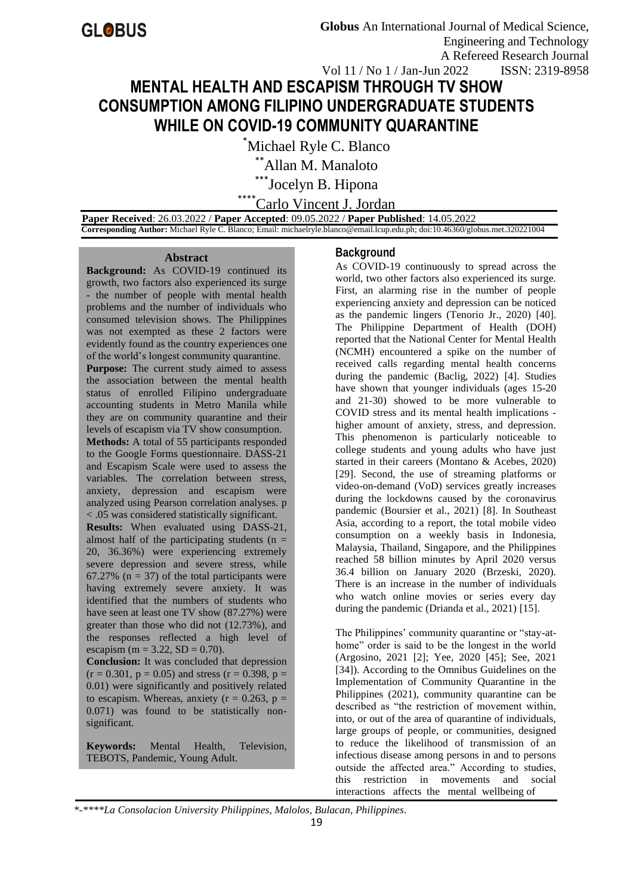# **MENTAL HEALTH AND ESCAPISM THROUGH TV SHOW CONSUMPTION AMONG FILIPINO UNDERGRADUATE STUDENTS WHILE ON COVID-19 COMMUNITY QUARANTINE**

\*Michael Ryle C. Blanco

\*\*Allan M. Manaloto

\*\*\*Jocelyn B. Hipona

\*\*\*\*Carlo Vincent J. Jordan

 **Paper Received**: 26.03.2022 / **Paper Accepted**: 09.05.2022 / **Paper Published**: 14.05.2022  **Corresponding Author:** Michael Ryle C. Blanco; Email: michaelryle.blanco@email.lcup.edu.ph; doi:10.46360/globus.met.320221004

#### **Abstract**

**Background:** As COVID-19 continued its growth, two factors also experienced its surge - the number of people with mental health problems and the number of individuals who consumed television shows. The Philippines was not exempted as these 2 factors were evidently found as the country experiences one of the world's longest community quarantine. **Purpose:** The current study aimed to assess the association between the mental health status of enrolled Filipino undergraduate accounting students in Metro Manila while they are on community quarantine and their levels of escapism via TV show consumption. **Methods:** A total of 55 participants responded to the Google Forms questionnaire. DASS-21 and Escapism Scale were used to assess the variables. The correlation between stress, anxiety, depression and escapism were analyzed using Pearson correlation analyses. p < .05 was considered statistically significant. **Results:** When evaluated using DASS-21, almost half of the participating students ( $n =$ 20, 36.36%) were experiencing extremely severe depression and severe stress, while 67.27% ( $n = 37$ ) of the total participants were having extremely severe anxiety. It was identified that the numbers of students who have seen at least one TV show (87.27%) were greater than those who did not (12.73%), and the responses reflected a high level of escapism (m = 3.22, SD = 0.70).

**Conclusion:** It was concluded that depression  $(r = 0.301, p = 0.05)$  and stress  $(r = 0.398, p = 0.05)$ 0.01) were significantly and positively related to escapism. Whereas, anxiety ( $r = 0.263$ ,  $p =$ 0.071) was found to be statistically nonsignificant.

**Keywords:** Mental Health, Television, TEBOTS, Pandemic, Young Adult.

# **Background**

As COVID-19 continuously to spread across the world, two other factors also experienced its surge. First, an alarming rise in the number of people experiencing anxiety and depression can be noticed as the pandemic lingers (Tenorio Jr., 2020) [40]. The Philippine Department of Health (DOH) reported that the National Center for Mental Health (NCMH) encountered a spike on the number of received calls regarding mental health concerns during the pandemic (Baclig, 2022) [4]. Studies have shown that younger individuals (ages 15-20 and 21-30) showed to be more vulnerable to COVID stress and its mental health implications higher amount of anxiety, stress, and depression. This phenomenon is particularly noticeable to college students and young adults who have just started in their careers (Montano & Acebes, 2020) [29]. Second, the use of streaming platforms or video-on-demand (VoD) services greatly increases during the lockdowns caused by the coronavirus pandemic (Boursier et al., 2021) [8]. In Southeast Asia, according to a report, the total mobile video consumption on a weekly basis in Indonesia, Malaysia, Thailand, Singapore, and the Philippines reached 58 billion minutes by April 2020 versus 36.4 billion on January 2020 (Brzeski, 2020). There is an increase in the number of individuals who watch online movies or series every day during the pandemic (Drianda et al., 2021) [15].

The Philippines' community quarantine or "stay-athome" order is said to be the longest in the world (Argosino, 2021 [2]; Yee, 2020 [45]; See, 2021 [34]). According to the Omnibus Guidelines on the Implementation of Community Quarantine in the Philippines (2021), community quarantine can be described as "the restriction of movement within, into, or out of the area of quarantine of individuals, large groups of people, or communities, designed to reduce the likelihood of transmission of an infectious disease among persons in and to persons outside the affected area." According to studies, this restriction in movements and social interactions affects the mental wellbeing of

*\*-\*\*\*\*La Consolacion University Philippines, Malolos, Bulacan, Philippines.*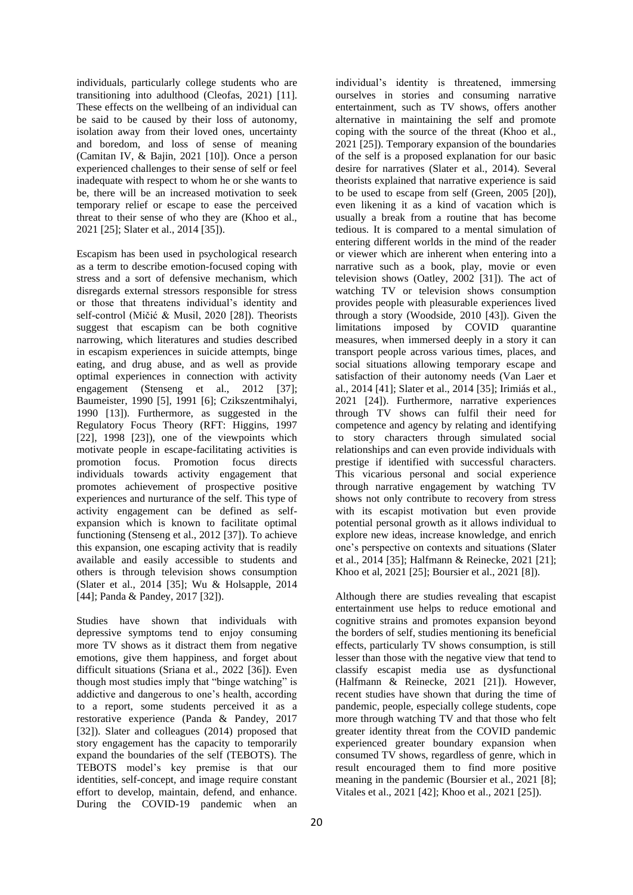individuals, particularly college students who are transitioning into adulthood (Cleofas, 2021) [11]. These effects on the wellbeing of an individual can be said to be caused by their loss of autonomy, isolation away from their loved ones, uncertainty and boredom, and loss of sense of meaning (Camitan IV, & Bajin, 2021 [10]). Once a person experienced challenges to their sense of self or feel inadequate with respect to whom he or she wants to be, there will be an increased motivation to seek temporary relief or escape to ease the perceived threat to their sense of who they are (Khoo et al., 2021 [25]; Slater et al., 2014 [35]).

Escapism has been used in psychological research as a term to describe emotion-focused coping with stress and a sort of defensive mechanism, which disregards external stressors responsible for stress or those that threatens individual's identity and self-control (Mičić & Musil, 2020 [28]). Theorists suggest that escapism can be both cognitive narrowing, which literatures and studies described in escapism experiences in suicide attempts, binge eating, and drug abuse, and as well as provide optimal experiences in connection with activity engagement (Stenseng et al., 2012 [37]; Baumeister, 1990 [5], 1991 [6]; Czikszentmihalyi, 1990 [13]). Furthermore, as suggested in the Regulatory Focus Theory (RFT: Higgins, 1997 [22], 1998 [23]), one of the viewpoints which motivate people in escape-facilitating activities is promotion focus. Promotion focus directs individuals towards activity engagement that promotes achievement of prospective positive experiences and nurturance of the self. This type of activity engagement can be defined as selfexpansion which is known to facilitate optimal functioning (Stenseng et al., 2012 [37]). To achieve this expansion, one escaping activity that is readily available and easily accessible to students and others is through television shows consumption (Slater et al., 2014 [35]; Wu & Holsapple, 2014 [44]; Panda & Pandey, 2017 [32]).

Studies have shown that individuals with depressive symptoms tend to enjoy consuming more TV shows as it distract them from negative emotions, give them happiness, and forget about difficult situations (Sriana et al., 2022 [36]). Even though most studies imply that "binge watching" is addictive and dangerous to one's health, according to a report, some students perceived it as a restorative experience (Panda & Pandey, 2017 [32]). Slater and colleagues (2014) proposed that story engagement has the capacity to temporarily expand the boundaries of the self (TEBOTS). The TEBOTS model's key premise is that our identities, self-concept, and image require constant effort to develop, maintain, defend, and enhance. During the COVID-19 pandemic when an

individual's identity is threatened, immersing ourselves in stories and consuming narrative entertainment, such as TV shows, offers another alternative in maintaining the self and promote coping with the source of the threat (Khoo et al., 2021 [25]). Temporary expansion of the boundaries of the self is a proposed explanation for our basic desire for narratives (Slater et al., 2014). Several theorists explained that narrative experience is said to be used to escape from self (Green, 2005 [20]), even likening it as a kind of vacation which is usually a break from a routine that has become tedious. It is compared to a mental simulation of entering different worlds in the mind of the reader or viewer which are inherent when entering into a narrative such as a book, play, movie or even television shows (Oatley, 2002 [31]). The act of watching TV or television shows consumption provides people with pleasurable experiences lived through a story (Woodside, 2010 [43]). Given the limitations imposed by COVID quarantine measures, when immersed deeply in a story it can transport people across various times, places, and social situations allowing temporary escape and satisfaction of their autonomy needs (Van Laer et al., 2014 [41]; Slater et al., 2014 [35]; Irimiás et al., 2021 [24]). Furthermore, narrative experiences through TV shows can fulfil their need for competence and agency by relating and identifying to story characters through simulated social relationships and can even provide individuals with prestige if identified with successful characters. This vicarious personal and social experience through narrative engagement by watching TV shows not only contribute to recovery from stress with its escapist motivation but even provide potential personal growth as it allows individual to explore new ideas, increase knowledge, and enrich one's perspective on contexts and situations (Slater et al., 2014 [35]; Halfmann & Reinecke, 2021 [21]; Khoo et al, 2021 [25]; Boursier et al., 2021 [8]).

Although there are studies revealing that escapist entertainment use helps to reduce emotional and cognitive strains and promotes expansion beyond the borders of self, studies mentioning its beneficial effects, particularly TV shows consumption, is still lesser than those with the negative view that tend to classify escapist media use as dysfunctional (Halfmann & Reinecke, 2021 [21]). However, recent studies have shown that during the time of pandemic, people, especially college students, cope more through watching TV and that those who felt greater identity threat from the COVID pandemic experienced greater boundary expansion when consumed TV shows, regardless of genre, which in result encouraged them to find more positive meaning in the pandemic (Boursier et al., 2021 [8]; Vitales et al., 2021 [42]; Khoo et al., 2021 [25]).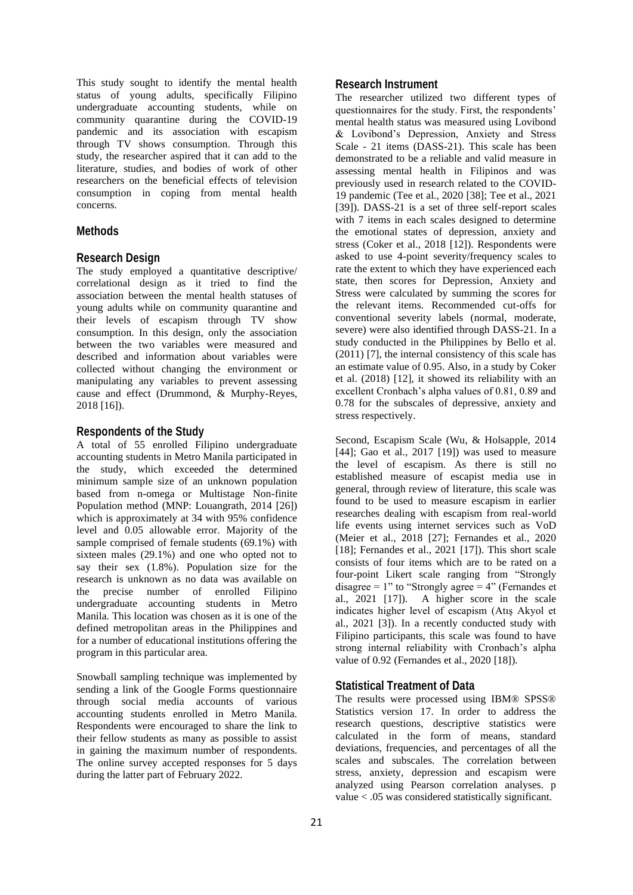This study sought to identify the mental health status of young adults, specifically Filipino undergraduate accounting students, while on community quarantine during the COVID-19 pandemic and its association with escapism through TV shows consumption. Through this study, the researcher aspired that it can add to the literature, studies, and bodies of work of other researchers on the beneficial effects of television consumption in coping from mental health concerns.

# **Methods**

#### **Research Design**

The study employed a quantitative descriptive/ correlational design as it tried to find the association between the mental health statuses of young adults while on community quarantine and their levels of escapism through TV show consumption. In this design, only the association between the two variables were measured and described and information about variables were collected without changing the environment or manipulating any variables to prevent assessing cause and effect (Drummond, & Murphy-Reyes, 2018 [16]).

#### **Respondents of the Study**

A total of 55 enrolled Filipino undergraduate accounting students in Metro Manila participated in the study, which exceeded the determined minimum sample size of an unknown population based from n-omega or Multistage Non-finite Population method (MNP: Louangrath, 2014 [26]) which is approximately at 34 with 95% confidence level and 0.05 allowable error. Majority of the sample comprised of female students (69.1%) with sixteen males (29.1%) and one who opted not to say their sex (1.8%). Population size for the research is unknown as no data was available on the precise number of enrolled Filipino undergraduate accounting students in Metro Manila. This location was chosen as it is one of the defined metropolitan areas in the Philippines and for a number of educational institutions offering the program in this particular area.

Snowball sampling technique was implemented by sending a link of the Google Forms questionnaire through social media accounts of various accounting students enrolled in Metro Manila. Respondents were encouraged to share the link to their fellow students as many as possible to assist in gaining the maximum number of respondents. The online survey accepted responses for 5 days during the latter part of February 2022.

# **Research Instrument**

The researcher utilized two different types of questionnaires for the study. First, the respondents' mental health status was measured using Lovibond & Lovibond's Depression, Anxiety and Stress Scale - 21 items (DASS-21). This scale has been demonstrated to be a reliable and valid measure in assessing mental health in Filipinos and was previously used in research related to the COVID-19 pandemic (Tee et al., 2020 [38]; Tee et al., 2021 [39]). DASS-21 is a set of three self-report scales with 7 items in each scales designed to determine the emotional states of depression, anxiety and stress (Coker et al., 2018 [12]). Respondents were asked to use 4-point severity/frequency scales to rate the extent to which they have experienced each state, then scores for Depression, Anxiety and Stress were calculated by summing the scores for the relevant items. Recommended cut-offs for conventional severity labels (normal, moderate, severe) were also identified through DASS-21. In a study conducted in the Philippines by Bello et al. (2011) [7], the internal consistency of this scale has an estimate value of 0.95. Also, in a study by Coker et al. (2018) [12], it showed its reliability with an excellent Cronbach's alpha values of 0.81, 0.89 and 0.78 for the subscales of depressive, anxiety and stress respectively.

Second, Escapism Scale (Wu, & Holsapple, 2014 [44]; Gao et al., 2017 [19]) was used to measure the level of escapism. As there is still no established measure of escapist media use in general, through review of literature, this scale was found to be used to measure escapism in earlier researches dealing with escapism from real-world life events using internet services such as VoD (Meier et al., 2018 [27]; Fernandes et al., 2020 [18]; Fernandes et al., 2021 [17]). This short scale consists of four items which are to be rated on a four-point Likert scale ranging from "Strongly disagree =  $1"$  to "Strongly agree =  $4"$  (Fernandes et al., 2021 [17]). A higher score in the scale indicates higher level of escapism (Atış Akyol et al., 2021 [3]). In a recently conducted study with Filipino participants, this scale was found to have strong internal reliability with Cronbach's alpha value of 0.92 (Fernandes et al., 2020 [18]).

#### **Statistical Treatment of Data**

The results were processed using IBM® SPSS® Statistics version 17. In order to address the research questions, descriptive statistics were calculated in the form of means, standard deviations, frequencies, and percentages of all the scales and subscales. The correlation between stress, anxiety, depression and escapism were analyzed using Pearson correlation analyses. p value < .05 was considered statistically significant.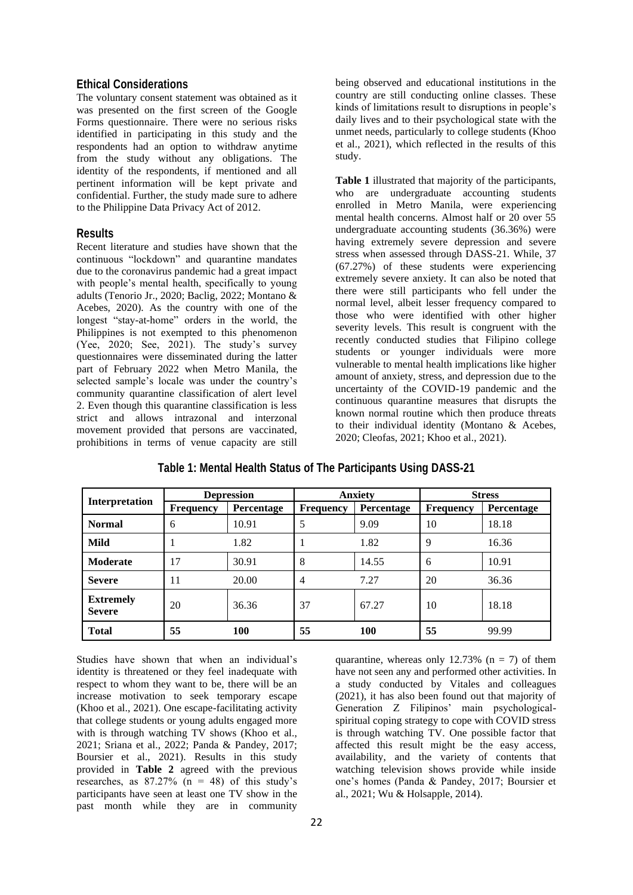#### **Ethical Considerations**

The voluntary consent statement was obtained as it was presented on the first screen of the Google Forms questionnaire. There were no serious risks identified in participating in this study and the respondents had an option to withdraw anytime from the study without any obligations. The identity of the respondents, if mentioned and all pertinent information will be kept private and confidential. Further, the study made sure to adhere to the Philippine Data Privacy Act of 2012.

# **Results**

Recent literature and studies have shown that the continuous "lockdown" and quarantine mandates due to the coronavirus pandemic had a great impact with people's mental health, specifically to young adults (Tenorio Jr., 2020; Baclig, 2022; Montano & Acebes, 2020). As the country with one of the longest "stay-at-home" orders in the world, the Philippines is not exempted to this phenomenon (Yee, 2020; See, 2021). The study's survey questionnaires were disseminated during the latter part of February 2022 when Metro Manila, the selected sample's locale was under the country's community quarantine classification of alert level 2. Even though this quarantine classification is less strict and allows intrazonal and interzonal movement provided that persons are vaccinated, prohibitions in terms of venue capacity are still

being observed and educational institutions in the country are still conducting online classes. These kinds of limitations result to disruptions in people's daily lives and to their psychological state with the unmet needs, particularly to college students (Khoo et al., 2021), which reflected in the results of this study.

**Table 1** illustrated that majority of the participants, who are undergraduate accounting students enrolled in Metro Manila, were experiencing mental health concerns. Almost half or 20 over 55 undergraduate accounting students (36.36%) were having extremely severe depression and severe stress when assessed through DASS-21. While, 37 (67.27%) of these students were experiencing extremely severe anxiety. It can also be noted that there were still participants who fell under the normal level, albeit lesser frequency compared to those who were identified with other higher severity levels. This result is congruent with the recently conducted studies that Filipino college students or younger individuals were more vulnerable to mental health implications like higher amount of anxiety, stress, and depression due to the uncertainty of the COVID-19 pandemic and the continuous quarantine measures that disrupts the known normal routine which then produce threats to their individual identity (Montano & Acebes, 2020; Cleofas, 2021; Khoo et al., 2021).

|                                   | <b>Depression</b> |            | <b>Anxiety</b>   |            | <b>Stress</b>    |            |
|-----------------------------------|-------------------|------------|------------------|------------|------------------|------------|
| <b>Interpretation</b>             | <b>Frequency</b>  | Percentage | <b>Frequency</b> | Percentage | <b>Frequency</b> | Percentage |
| <b>Normal</b>                     | 6                 | 10.91      | 5                | 9.09       | 10               | 18.18      |
| Mild                              |                   | 1.82       |                  | 1.82       | 9                | 16.36      |
| <b>Moderate</b>                   | 17                | 30.91      | 8                | 14.55      | 6                | 10.91      |
| <b>Severe</b>                     | 11                | 20.00      | 4                | 7.27       | 20               | 36.36      |
| <b>Extremely</b><br><b>Severe</b> | 20                | 36.36      | 37               | 67.27      | 10               | 18.18      |
| <b>Total</b>                      | 55                | <b>100</b> | 55               | <b>100</b> | 55               | 99.99      |

# **Table 1: Mental Health Status of The Participants Using DASS-21**

Studies have shown that when an individual's identity is threatened or they feel inadequate with respect to whom they want to be, there will be an increase motivation to seek temporary escape (Khoo et al., 2021). One escape-facilitating activity that college students or young adults engaged more with is through watching TV shows (Khoo et al., 2021; Sriana et al., 2022; Panda & Pandey, 2017; Boursier et al., 2021). Results in this study provided in **Table 2** agreed with the previous researches, as  $87.27\%$  (n = 48) of this study's participants have seen at least one TV show in the past month while they are in community

quarantine, whereas only 12.73% ( $n = 7$ ) of them have not seen any and performed other activities. In a study conducted by Vitales and colleagues (2021), it has also been found out that majority of Generation Z Filipinos' main psychologicalspiritual coping strategy to cope with COVID stress is through watching TV. One possible factor that affected this result might be the easy access, availability, and the variety of contents that watching television shows provide while inside one's homes (Panda & Pandey, 2017; Boursier et al., 2021; Wu & Holsapple, 2014).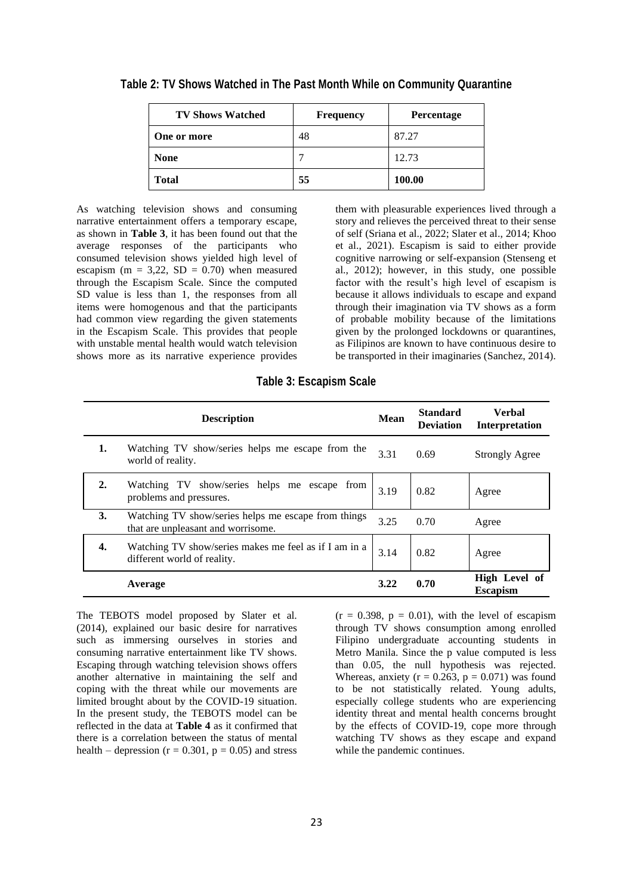| <b>TV Shows Watched</b> | <b>Frequency</b> | <b>Percentage</b> |
|-------------------------|------------------|-------------------|
| One or more             | 48               | 87.27             |
| <b>None</b>             |                  | 12.73             |
| <b>Total</b>            | 55               | 100.00            |

**Table 2: TV Shows Watched in The Past Month While on Community Quarantine**

As watching television shows and consuming narrative entertainment offers a temporary escape, as shown in **Table 3**, it has been found out that the average responses of the participants who consumed television shows yielded high level of escapism ( $m = 3,22$ ,  $SD = 0.70$ ) when measured through the Escapism Scale. Since the computed SD value is less than 1, the responses from all items were homogenous and that the participants had common view regarding the given statements in the Escapism Scale. This provides that people with unstable mental health would watch television shows more as its narrative experience provides them with pleasurable experiences lived through a story and relieves the perceived threat to their sense of self (Sriana et al., 2022; Slater et al., 2014; Khoo et al., 2021). Escapism is said to either provide cognitive narrowing or self-expansion (Stenseng et al., 2012); however, in this study, one possible factor with the result's high level of escapism is because it allows individuals to escape and expand through their imagination via TV shows as a form of probable mobility because of the limitations given by the prolonged lockdowns or quarantines, as Filipinos are known to have continuous desire to be transported in their imaginaries (Sanchez, 2014).

|                  | <b>Description</b>                                                                        | Mean | <b>Standard</b><br><b>Deviation</b> | Verbal<br>Interpretation         |
|------------------|-------------------------------------------------------------------------------------------|------|-------------------------------------|----------------------------------|
| 1.               | Watching TV show/series helps me escape from the<br>world of reality.                     | 3.31 | 0.69                                | <b>Strongly Agree</b>            |
| $\overline{2}$ . | Watching TV show/series helps me escape from<br>problems and pressures.                   | 3.19 | 0.82                                | Agree                            |
| 3.               | Watching TV show/series helps me escape from things<br>that are unpleasant and worrisome. | 3.25 | 0.70                                | Agree                            |
| 4.               | Watching TV show/series makes me feel as if I am in a<br>different world of reality.      | 3.14 | 0.82                                | Agree                            |
|                  | Average                                                                                   | 3.22 | 0.70                                | High Level of<br><b>Escapism</b> |

The TEBOTS model proposed by Slater et al. (2014), explained our basic desire for narratives such as immersing ourselves in stories and consuming narrative entertainment like TV shows. Escaping through watching television shows offers another alternative in maintaining the self and coping with the threat while our movements are limited brought about by the COVID-19 situation. In the present study, the TEBOTS model can be reflected in the data at **Table 4** as it confirmed that there is a correlation between the status of mental health – depression ( $r = 0.301$ ,  $p = 0.05$ ) and stress  $(r = 0.398, p = 0.01)$ , with the level of escapism through TV shows consumption among enrolled Filipino undergraduate accounting students in Metro Manila. Since the p value computed is less than 0.05, the null hypothesis was rejected. Whereas, anxiety ( $r = 0.263$ ,  $p = 0.071$ ) was found to be not statistically related. Young adults, especially college students who are experiencing identity threat and mental health concerns brought by the effects of COVID-19, cope more through watching TV shows as they escape and expand while the pandemic continues.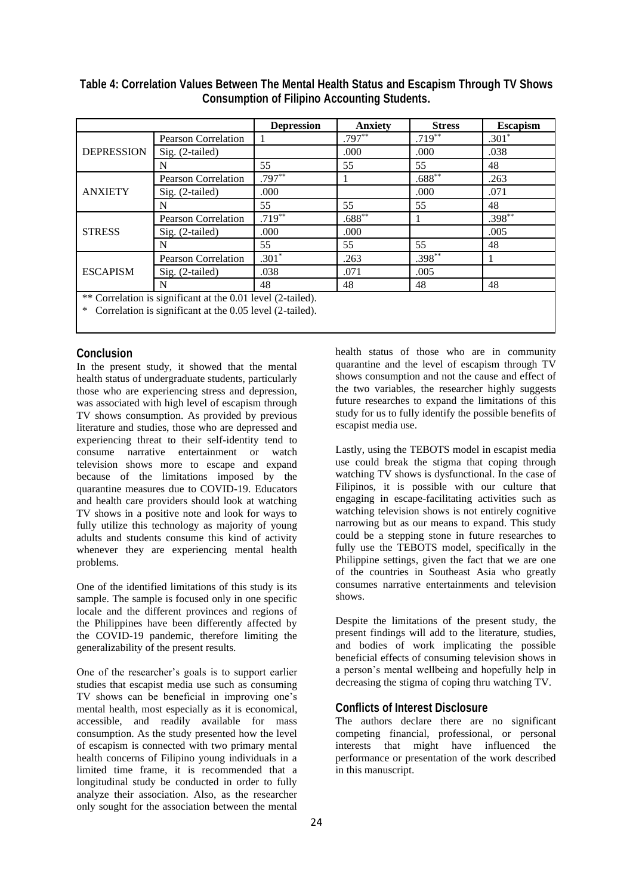|                                                             |                            | <b>Depression</b> | <b>Anxiety</b> | <b>Stress</b> | <b>Escapism</b> |
|-------------------------------------------------------------|----------------------------|-------------------|----------------|---------------|-----------------|
| <b>DEPRESSION</b>                                           | <b>Pearson Correlation</b> |                   | $.797***$      | $.719**$      | $.301*$         |
|                                                             | Sig. (2-tailed)            |                   | .000           | .000          | .038            |
|                                                             | N                          | 55                | 55             | 55            | 48              |
| <b>ANXIETY</b>                                              | <b>Pearson Correlation</b> | $.797**$          |                | $.688**$      | .263            |
|                                                             | Sig. (2-tailed)            | .000              |                | .000          | .071            |
|                                                             | N                          | 55                | 55             | 55            | 48              |
|                                                             | Pearson Correlation        | $.719**$          | $.688***$      |               | $.398**$        |
| <b>STRESS</b>                                               | $Sig.$ (2-tailed)          | .000              | .000           |               | .005            |
|                                                             | N                          | 55                | 55             | 55            | 48              |
| <b>ESCAPISM</b>                                             | <b>Pearson Correlation</b> | $.301*$           | .263           | $.398***$     |                 |
|                                                             | $Sig. (2-tailed)$          | .038              | .071           | .005          |                 |
|                                                             | N                          | 48                | 48             | 48            | 48              |
| ** Correlation is significant at the 0.01 level (2-tailed). |                            |                   |                |               |                 |

| Table 4: Correlation Values Between The Mental Health Status and Escapism Through TV Shows |
|--------------------------------------------------------------------------------------------|
| <b>Consumption of Filipino Accounting Students.</b>                                        |

Correlation is significant at the 0.05 level (2-tailed).

#### **Conclusion**

In the present study, it showed that the mental health status of undergraduate students, particularly those who are experiencing stress and depression, was associated with high level of escapism through TV shows consumption. As provided by previous literature and studies, those who are depressed and experiencing threat to their self-identity tend to consume narrative entertainment or watch television shows more to escape and expand because of the limitations imposed by the quarantine measures due to COVID-19. Educators and health care providers should look at watching TV shows in a positive note and look for ways to fully utilize this technology as majority of young adults and students consume this kind of activity whenever they are experiencing mental health problems.

One of the identified limitations of this study is its sample. The sample is focused only in one specific locale and the different provinces and regions of the Philippines have been differently affected by the COVID-19 pandemic, therefore limiting the generalizability of the present results.

One of the researcher's goals is to support earlier studies that escapist media use such as consuming TV shows can be beneficial in improving one's mental health, most especially as it is economical, accessible, and readily available for mass consumption. As the study presented how the level of escapism is connected with two primary mental health concerns of Filipino young individuals in a limited time frame, it is recommended that a longitudinal study be conducted in order to fully analyze their association. Also, as the researcher only sought for the association between the mental

health status of those who are in community quarantine and the level of escapism through TV shows consumption and not the cause and effect of the two variables, the researcher highly suggests future researches to expand the limitations of this study for us to fully identify the possible benefits of escapist media use.

Lastly, using the TEBOTS model in escapist media use could break the stigma that coping through watching TV shows is dysfunctional. In the case of Filipinos, it is possible with our culture that engaging in escape-facilitating activities such as watching television shows is not entirely cognitive narrowing but as our means to expand. This study could be a stepping stone in future researches to fully use the TEBOTS model, specifically in the Philippine settings, given the fact that we are one of the countries in Southeast Asia who greatly consumes narrative entertainments and television shows.

Despite the limitations of the present study, the present findings will add to the literature, studies, and bodies of work implicating the possible beneficial effects of consuming television shows in a person's mental wellbeing and hopefully help in decreasing the stigma of coping thru watching TV.

## **Conflicts of Interest Disclosure**

The authors declare there are no significant competing financial, professional, or personal interests that might have influenced the performance or presentation of the work described in this manuscript.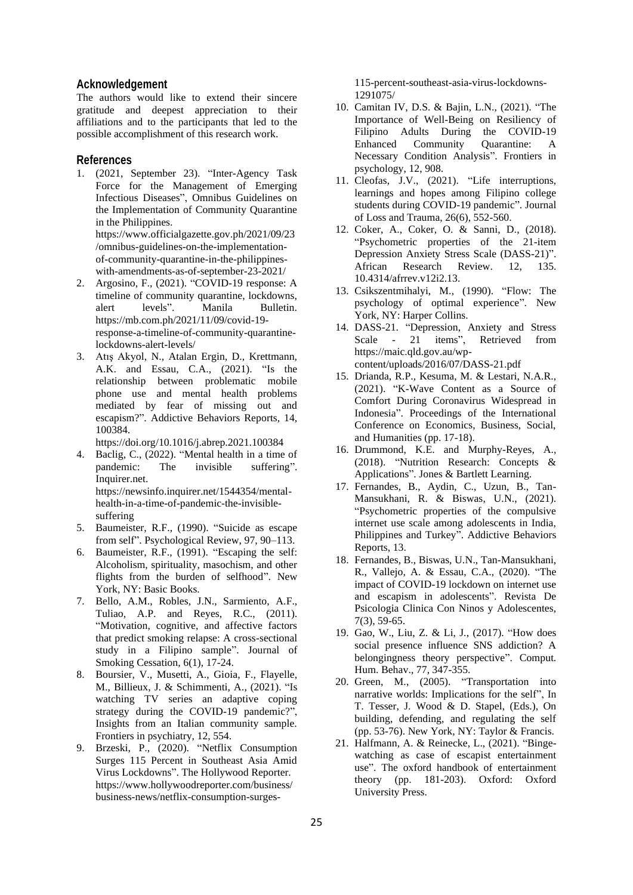# **Acknowledgement**

The authors would like to extend their sincere gratitude and deepest appreciation to their affiliations and to the participants that led to the possible accomplishment of this research work.

# **References**

- 1. (2021, September 23). "Inter-Agency Task Force for the Management of Emerging Infectious Diseases", Omnibus Guidelines on the Implementation of Community Quarantine in the Philippines. https://www.officialgazette.gov.ph/2021/09/23 /omnibus-guidelines-on-the-implementationof-community-quarantine-in-the-philippineswith-amendments-as-of-september-23-2021/
- 2. Argosino, F., (2021). "COVID-19 response: A timeline of community quarantine, lockdowns, alert levels". Manila Bulletin. https://mb.com.ph/2021/11/09/covid-19 response-a-timeline-of-community-quarantinelockdowns-alert-levels/
- 3. Atış Akyol, N., Atalan Ergin, D., Krettmann, A.K. and Essau, C.A., (2021). "Is the relationship between problematic mobile phone use and mental health problems mediated by fear of missing out and escapism?". Addictive Behaviors Reports, 14, 100384.

https://doi.org/10.1016/j.abrep.2021.100384

- 4. Baclig, C., (2022). "Mental health in a time of pandemic: The invisible suffering". Inquirer.net. https://newsinfo.inquirer.net/1544354/mentalhealth-in-a-time-of-pandemic-the-invisiblesuffering
- 5. Baumeister, R.F., (1990). "Suicide as escape from self". Psychological Review, 97, 90–113.
- 6. Baumeister, R.F., (1991). "Escaping the self: Alcoholism, spirituality, masochism, and other flights from the burden of selfhood". New York, NY: Basic Books.
- 7. Bello, A.M., Robles, J.N., Sarmiento, A.F., Tuliao, A.P. and Reyes, R.C., (2011). "Motivation, cognitive, and affective factors that predict smoking relapse: A cross-sectional study in a Filipino sample". Journal of Smoking Cessation, 6(1), 17-24.
- 8. Boursier, V., Musetti, A., Gioia, F., Flayelle, M., Billieux, J. & Schimmenti, A., (2021). "Is watching TV series an adaptive coping strategy during the COVID-19 pandemic?", Insights from an Italian community sample. Frontiers in psychiatry, 12, 554.
- 9. Brzeski, P., (2020). "Netflix Consumption Surges 115 Percent in Southeast Asia Amid Virus Lockdowns". The Hollywood Reporter. https://www.hollywoodreporter.com/business/ business-news/netflix-consumption-surges-

115-percent-southeast-asia-virus-lockdowns-1291075/

- 10. Camitan IV, D.S. & Bajin, L.N., (2021). "The Importance of Well-Being on Resiliency of Filipino Adults During the COVID-19 Enhanced Community Quarantine: A Necessary Condition Analysis". Frontiers in psychology, 12, 908.
- 11. Cleofas, J.V., (2021). "Life interruptions, learnings and hopes among Filipino college students during COVID-19 pandemic". Journal of Loss and Trauma, 26(6), 552-560.
- 12. Coker, A., Coker, O. & Sanni, D., (2018). "Psychometric properties of the 21-item Depression Anxiety Stress Scale (DASS-21)". African Research Review. 12, 135. 10.4314/afrrev.v12i2.13.
- 13. Csikszentmihalyi, M., (1990). "Flow: The psychology of optimal experience". New York, NY: Harper Collins.
- 14. DASS-21. "Depression, Anxiety and Stress Scale - 21 items", Retrieved from https://maic.qld.gov.au/wpcontent/uploads/2016/07/DASS-21.pdf
- 15. Drianda, R.P., Kesuma, M. & Lestari, N.A.R., (2021). "K-Wave Content as a Source of Comfort During Coronavirus Widespread in Indonesia". Proceedings of the International Conference on Economics, Business, Social, and Humanities (pp. 17-18).
- 16. Drummond, K.E. and Murphy-Reyes, A., (2018). "Nutrition Research: Concepts & Applications". Jones & Bartlett Learning.
- 17. Fernandes, B., Aydin, C., Uzun, B., Tan-Mansukhani, R. & Biswas, U.N., (2021). "Psychometric properties of the compulsive internet use scale among adolescents in India, Philippines and Turkey". Addictive Behaviors Reports, 13.
- 18. Fernandes, B., Biswas, U.N., Tan-Mansukhani, R., Vallejo, A. & Essau, C.A., (2020). "The impact of COVID-19 lockdown on internet use and escapism in adolescents". Revista De Psicologia Clinica Con Ninos y Adolescentes, 7(3), 59-65.
- 19. Gao, W., Liu, Z. & Li, J., (2017). "How does social presence influence SNS addiction? A belongingness theory perspective". Comput. Hum. Behav., 77, 347-355.
- 20. Green, M., (2005). "Transportation into narrative worlds: Implications for the self", In T. Tesser, J. Wood & D. Stapel, (Eds.), On building, defending, and regulating the self (pp. 53-76). New York, NY: Taylor & Francis.
- 21. Halfmann, A. & Reinecke, L., (2021). "Bingewatching as case of escapist entertainment use". The oxford handbook of entertainment theory (pp. 181-203). Oxford: Oxford University Press.